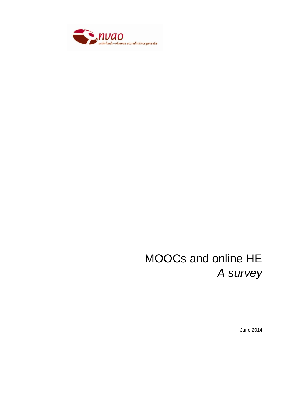

# MOOCs and online HE *A survey*

June 2014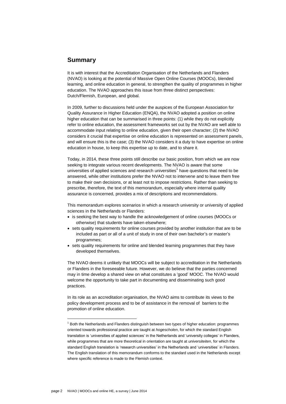# **Summary**

It is with interest that the Accreditation Organisation of the Netherlands and Flanders (NVAO) is looking at the potential of Massive Open Online Courses (MOOCs), blended learning, and online education in general, to strengthen the quality of programmes in higher education. The NVAO approaches this issue from three distinct perspectives: Dutch/Flemish, European, and global.

In 2009, further to discussions held under the auspices of the European Association for Quality Assurance in Higher Education (ENQA), the NVAO adopted a position on online higher education that can be summarised in three points: (1) while they do not explicitly refer to online education, the assessment frameworks set out by the NVAO are well able to accommodate input relating to online education, given their open character; (2) the NVAO considers it crucial that expertise on online education is represented on assessment panels, and will ensure this is the case; (3) the NVAO considers it a duty to have expertise on online education in house, to keep this expertise up to date, and to share it.

Today, in 2014, these three points still describe our basic position, from which we are now seeking to integrate various recent developments. The NVAO is aware that some universities of applied sciences and research universities<sup>1</sup> have questions that need to be answered, while other institutions prefer the NVAO not to intervene and to leave them free to make their own decisions, or at least not to impose restrictions. Rather than seeking to prescribe, therefore, the text of this memorandum, especially where internal quality assurance is concerned, provides a mix of descriptions and recommendations.

This memorandum explores scenarios in which a research university or university of applied sciences in the Netherlands or Flanders:

- is seeking the best way to handle the acknowledgement of online courses (MOOCs or otherwise) that students have taken elsewhere;
- sets quality requirements for online courses provided by another institution that are to be included as part or all of a unit of study in one of their own bachelor"s or master"s programmes;
- sets quality requirements for online and blended learning programmes that they have developed themselves.

The NVAO deems it unlikely that MOOCs will be subject to accreditation in the Netherlands or Flanders in the foreseeable future. However, we do believe that the parties concerned may in time develop a shared view on what constitutes a "good" MOOC. The NVAO would welcome the opportunity to take part in documenting and disseminating such good practices.

In its role as an accreditation organisation, the NVAO aims to contribute its views to the policy development process and to be of assistance in the removal of barriers to the promotion of online education.

 $<sup>1</sup>$  Both the Netherlands and Flanders distinguish between two types of higher education: programmes</sup> oriented towards professional practice are taught at *hogescholen*, for which the standard English translation is "universities of applied sciences" in the Netherlands and "university colleges" in Flanders, while programmes that are more theoretical in orientation are taught at *universiteiten*, for which the standard English translation is "research universities" in the Netherlands and "universities" in Flanders. The English translation of this memorandum conforms to the standard used in the Netherlands except where specific reference is made to the Flemish context.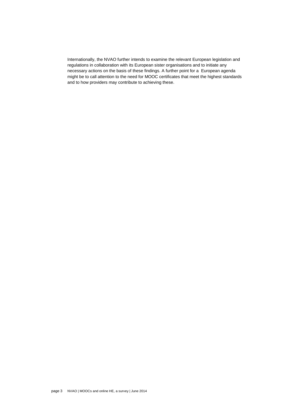Internationally, the NVAO further intends to examine the relevant European legislation and regulations in collaboration with its European sister organisations and to initiate any necessary actions on the basis of these findings. A further point for a European agenda might be to call attention to the need for MOOC certificates that meet the highest standards and to how providers may contribute to achieving these.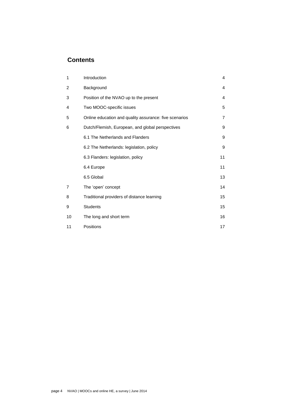# **Contents**

| 1  | Introduction                                           | 4              |
|----|--------------------------------------------------------|----------------|
| 2  | Background                                             | 4              |
| 3  | Position of the NVAO up to the present                 | 4              |
| 4  | Two MOOC-specific issues                               | 5              |
| 5  | Online education and quality assurance: five scenarios | $\overline{7}$ |
| 6  | Dutch/Flemish, European, and global perspectives       | 9              |
|    | 6.1 The Netherlands and Flanders                       | 9              |
|    | 6.2 The Netherlands: legislation, policy               | 9              |
|    | 6.3 Flanders: legislation, policy                      | 11             |
|    | 6.4 Europe                                             | 11             |
|    | 6.5 Global                                             | 13             |
| 7  | The 'open' concept                                     | 14             |
| 8  | Traditional providers of distance learning             | 15             |
| 9  | <b>Students</b>                                        | 15             |
| 10 | The long and short term                                | 16             |
| 11 | Positions                                              | 17             |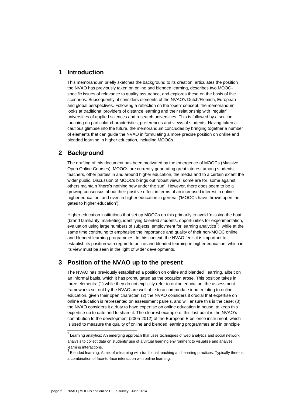# **1 Introduction**

This memorandum briefly sketches the background to its creation, articulates the position the NVAO has previously taken on online and blended learning, describes two MOOCspecific issues of relevance to quality assurance, and explores these on the basis of five scenarios. Subsequently, it considers elements of the NVAO's Dutch/Flemish, European and global perspectives. Following a reflection on the "open" concept, the memorandum looks at traditional providers of distance learning and their relationship with "regular" universities of applied sciences and research universities. This is followed by a section touching on particular characteristics, preferences and views of students. Having taken a cautious glimpse into the future, the memorandum concludes by bringing together a number of elements that can guide the NVAO in formulating a more precise position on online and blended learning in higher education, including MOOCs.

# **2 Background**

The drafting of this document has been motivated by the emergence of MOOCs (Massive Open Online Courses). MOOCs are currently generating great interest among students, teachers, other parties in and around higher education, the media and to a certain extent the wider public. Discussion of MOOCs brings out robust views: some are for, some against, others maintain "there"s nothing new under the sun". However, there does seem to be a growing consensus about their positive effect in terms of an increased interest in online higher education, and even in higher education in general ("MOOCs have thrown open the gates to higher education").

Higher education institutions that set up MOOCs do this primarily to avoid "missing the boat" (brand familiarity, marketing, identifying talented students, opportunities for experimentation, evaluation using large numbers of subjects, employment for learning analytics<sup>2</sup>), while at the same time continuing to emphasise the importance and quality of their non-MOOC online and blended learning programmes. In this context, the NVAO feels it is important to establish its position with regard to online and blended learning in higher education, which in its view must be seen in the light of wider developments.

# **3 Position of the NVAO up to the present**

The NVAO has previously established a position on online and blended $^3$  learning, albeit on an informal basis, which it has promulgated as the occasion arose. This position takes in three elements: (1) while they do not explicitly refer to online education, the assessment frameworks set out by the NVAO are well able to accommodate input relating to online education, given their open character; (2) the NVAO considers it crucial that expertise on online education is represented on assessment panels, and will ensure this is the case; (3) the NVAO considers it a duty to have expertise on online education in house, to keep this expertise up to date and to share it. The clearest example of this last point is the NVAO"s contribution to the development (2005-2012) of the European E-xellence instrument, which is used to measure the quality of online and blended learning programmes and in principle

 $2$  Learning analytics: An emerging approach that uses techniques of web analytics and social network analysis to collect data on students' use of a virtual learning environment to visualise and analyse learning interactions.

 $3$  Blended learning: A mix of e-learning with traditional teaching and learning practices. Typically there is a combination of face-to-face interaction with online learning.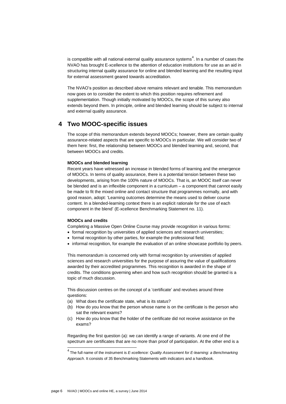is compatible with all national external quality assurance systems $^4$ . In a number of cases the NVAO has brought E-xcellence to the attention of education institutions for use as an aid in structuring internal quality assurance for online and blended learning and the resulting input for external assessment geared towards accreditation.

The NVAO"s position as described above remains relevant and tenable. This memorandum now goes on to consider the extent to which this position requires refinement and supplementation. Though initially motivated by MOOCs, the scope of this survey also extends beyond them. In principle, online and blended learning should be subject to internal and external quality assurance.

# **4 Two MOOC-specific issues**

The scope of this memorandum extends beyond MOOCs; however, there are certain quality assurance-related aspects that are specific to MOOCs in particular. We will consider two of them here: first, the relationship between MOOCs and blended learning and, second, that between MOOCs and credits.

### **MOOCs and blended learning**

Recent years have witnessed an increase in blended forms of learning and the emergence of MOOCs. In terms of quality assurance, there is a potential tension between these two developments, arising from the 100% nature of MOOCs. That is, an MOOC itself can never be blended and is an inflexible component in a curriculum – a component that cannot easily be made to fit the mixed online and contact structure that programmes normally, and with good reason, adopt: "Learning outcomes determine the means used to deliver course content. In a blended-learning context there is an explicit rationale for the use of each component in the blend" (E-xcellence Benchmarking Statement no. 11).

### **MOOCs and credits**

Completing a Massive Open Online Course may provide recognition in various forms:

- formal recognition by universities of applied sciences and research universities;
- formal recognition by other parties, for example the professional field;
- informal recognition, for example the evaluation of an online showcase portfolio by peers.

This memorandum is concerned only with formal recognition by universities of applied sciences and research universities for the purpose of assuring the value of qualifications awarded by their accredited programmes. This recognition is awarded in the shape of credits. The conditions governing when and how such recognition should be granted is a topic of much discussion.

This discussion centres on the concept of a 'certificate' and revolves around three questions:

- (a) What does the certificate state, what is its status?
- (b) How do you know that the person whose name is on the certificate is the person who sat the relevant exams?
- (c) How do you know that the holder of the certificate did not receive assistance on the exams?

Regarding the first question (a): we can identify a range of variants. At one end of the spectrum are certificates that are no more than proof of participation. At the other end is a

<sup>4</sup> The full name of the instrument is *E-xcellence: Quality Assessment for E-learning: a Benchmarking Approach*. It consists of 35 Benchmarking Statements with indicators and a handbook.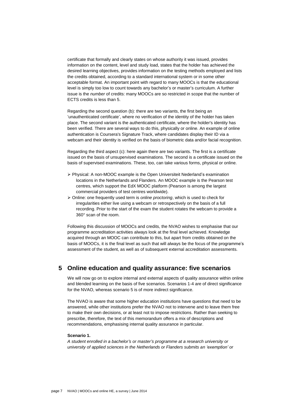certificate that formally and clearly states on whose authority it was issued, provides information on the content, level and study load, states that the holder has achieved the desired learning objectives, provides information on the testing methods employed and lists the credits obtained, according to a standard international system or in some other acceptable format. An important point with regard to many MOOCs is that the educational level is simply too low to count towards any bachelor"s or master"s curriculum. A further issue is the *number* of credits: many MOOCs are so restricted in scope that the number of ECTS credits is less than 5.

Regarding the second question (b): there are two variants, the first being an "unauthenticated certificate", where no verification of the identity of the holder has taken place. The second variant is the authenticated certificate, where the holder's identity has been verified. There are several ways to do this, physically or online. An example of online authentication is Coursera's Signature Track, where candidates display their ID via a webcam and their identity is verified on the basis of biometric data and/or facial recognition.

Regarding the third aspect (c): here again there are two variants. The first is a certificate issued on the basis of unsupervised examinations. The second is a certificate issued on the basis of supervised examinations. These, too, can take various forms, physical or online.

- $\triangleright$  Physical: A non-MOOC example is the Open Universiteit Nederland's examination locations in the Netherlands and Flanders. An MOOC example is the Pearson test centres, which support the EdX MOOC platform (Pearson is among the largest commercial providers of test centres worldwide).
- Online: one frequently used term is *online proctoring*, which is used to check for irregularities either live using a webcam or retrospectively on the basis of a full recording. Prior to the start of the exam the student rotates the webcam to provide a 360° scan of the room.

Following this discussion of MOOCs and credits, the NVAO wishes to emphasise that our programme accreditation activities always look at the final level achieved. Knowledge acquired through an MOOC can contribute to this, but apart from credits obtained on the basis of MOOCs, it is the final level as such that will always be the focus of the programme's assessment of the student, as well as of subsequent external accreditation assessments.

# **5 Online education and quality assurance: five scenarios**

We will now go on to explore internal and external aspects of quality assurance within online and blended learning on the basis of five scenarios. Scenarios 1-4 are of direct significance for the NVAO, whereas scenario 5 is of more indirect significance.

The NVAO is aware that some higher education institutions have questions that need to be answered, while other institutions prefer the NVAO not to intervene and to leave them free to make their own decisions, or at least not to impose restrictions. Rather than seeking to prescribe, therefore, the text of this memorandum offers a mix of descriptions and recommendations, emphasising internal quality assurance in particular.

# **Scenario 1.**

*A student enrolled in a bachelor's or master's programme at a research university or university of applied sciences in the Netherlands or Flanders submits an 'exemption' or*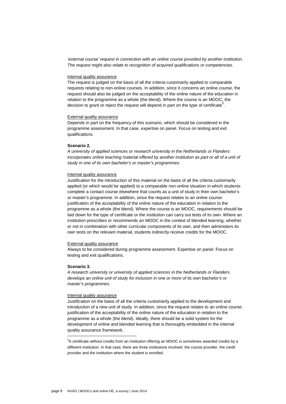*'external course' request in connection with an online course provided by another institution. The request might also relate to recognition of acquired qualifications or competencies.*

#### Internal quality assurance

The request is judged on the basis of all the criteria customarily applied to comparable requests relating to non-online courses. In addition, since it concerns an online course, the request should also be judged on the acceptability of the online nature of the education in relation to the programme as a whole (the blend). Where the course is an MOOC, the decision to grant or reject the request will depend in part on the type of certificate<sup>5</sup>.

#### External quality assurance

Depends in part on the frequency of this scenario, which should be considered in the programme assessment. In that case, expertise on panel. Focus on testing and exit qualifications.

# **Scenario 2.**

*A university of applied sciences or research university in the Netherlands or Flanders incorporates online teaching material offered by another institution as part or all of a unit of study in one of its own bachelor's or master's programmes.*

#### Internal quality assurance

Justification for the introduction of this material on the basis of all the criteria customarily applied (or which would be applied) to a comparable non-online situation in which students complete a contact course elsewhere that counts as a unit of study in their own bachelor"s or master"s programme. In addition, since the request relates to an online course: justification of the acceptability of the online nature of the education in relation to the programme as a whole (the blend). Where the course is an MOOC, requirements should be laid down for the type of certificate or the institution can carry out tests of its own. Where an institution prescribes or recommends an MOOC in the context of blended learning, whether or not in combination with other curricular components of its own, and then administers its own tests on the relevant material, students indirectly receive credits for the MOOC.

#### External quality assurance

Always to be considered during programme assessment. Expertise on panel. Focus on testing and exit qualifications.

### **Scenario 3.**

l

*A research university or university of applied sciences in the Netherlands or Flanders develops an online unit of study for inclusion in one or more of its own bachelor's or master's programmes.*

#### Internal quality assurance

Justification on the basis of all the criteria customarily applied to the development and introduction of a new unit of study. In addition, since the request relates to an online course: justification of the acceptability of the online nature of the education in relation to the programme as a whole (the blend). Ideally, there should be a solid system for the development of online and blended learning that is thoroughly embedded in the internal quality assurance framework.

<sup>5</sup>A certificate without credits from an institution offering an MOOC is sometimes awarded credits by a different institution. In that case, there are three institutions involved: the course provider, the credit provider and the institution where the student is enrolled.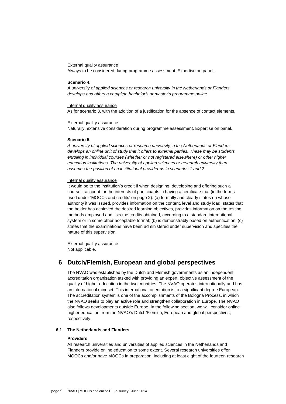## External quality assurance

Always to be considered during programme assessment. Expertise on panel.

#### **Scenario 4.**

*A university of applied sciences or research university in the Netherlands or Flanders develops and offers a complete bachelor's or master's programme online.*

#### Internal quality assurance

As for scenario 3, with the addition of a justification for the absence of contact elements.

#### External quality assurance

Naturally, extensive consideration during programme assessment. Expertise on panel.

### **Scenario 5.**

*A university of applied sciences or research university in the Netherlands or Flanders develops an online unit of study that it offers to external parties. These may be students enrolling in individual courses (whether or not registered elsewhere) or other higher education institutions. The university of applied sciences or research university then assumes the position of an institutional provider as in scenarios 1 and 2.*

### Internal quality assurance

It would be to the institution's credit if when designing, developing and offering such a course it account for the interests of participants in having a certificate that (in the terms used under "MOOCs and credits" on page 2): (a) formally and clearly states on whose authority it was issued, provides information on the content, level and study load, states that the holder has achieved the desired learning objectives, provides information on the testing methods employed and lists the credits obtained, according to a standard international system or in some other acceptable format; (b) is demonstrably based on authentication; (c) states that the examinations have been administered under supervision and specifies the nature of this supervision.

External quality assurance Not applicable.

# **6 Dutch/Flemish, European and global perspectives**

The NVAO was established by the Dutch and Flemish governments as an independent accreditation organisation tasked with providing an expert, objective assessment of the quality of higher education in the two countries. The NVAO operates internationally and has an international mindset. This international orientation is to a significant degree European. The accreditation system is one of the accomplishments of the Bologna Process, in which the NVAO seeks to play an active role and strengthen collaboration in Europe. The NVAO also follows developments outside Europe. In the following section, we will consider online higher education from the NVAO's Dutch/Flemish, European and global perspectives, respectively.

### **6.1 The Netherlands and Flanders**

# **Providers**

All research universities and universities of applied sciences in the Netherlands and Flanders provide online education to some extent. Several research universities offer MOOCs and/or have MOOCs in preparation, including at least eight of the fourteen research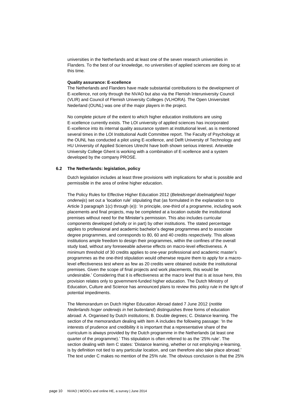universities in the Netherlands and at least one of the seven research universities in Flanders. To the best of our knowledge, no universities of applied sciences are doing so at this time.

### **Quality assurance: E-xcellence**

The Netherlands and Flanders have made substantial contributions to the development of E-xcellence, not only through the NVAO but also via the Flemish Interuniversity Council (VLIR) and Council of Flemish University Colleges (VLHORA). The Open Universiteit Nederland (OUNL) was one of the major players in the project.

No complete picture of the extent to which higher education institutions are using E-xcellence currently exists. The LOI university of applied sciences has incorporated E-xcellence into its internal quality assurance system at institutional level, as is mentioned several times in the LOI Institutional Audit Committee report. The Faculty of Psychology at the OUNL has conducted a pilot using E-xcellence, and Delft University of Technology and HU University of Applied Sciences Utrecht have both shown serious interest. Artevelde University College Ghent is working with a combination of E-xcellence and a system developed by the company PROSE.

### **6.2 The Netherlands: legislation, policy**

Dutch legislation includes at least three provisions with implications for what is possible and permissible in the area of online higher education.

The Policy Rules for Effective Higher Education 2012 (*Beleidsregel doelmatigheid hoger onderwijs*) set out a "location rule" stipulating that (as formulated in the explanation to to Article 3 paragraph 1(c) through (e)): "in principle, one-third of a programme, including work placements and final projects, may be completed at a location outside the institutional premises without need for the Minister"s permission. This also includes curricular components developed (wholly or in part) by other institutions. The stated percentage applies to professional and academic bachelor"s degree programmes and to associate degree programmes, and corresponds to 80, 60 and 40 credits respectively. This allows institutions ample freedom to design their programmes, within the confines of the overall study load, without any foreseeable adverse effects on macro-level effectiveness. A minimum threshold of 30 credits applies to one-year professional and academic master"s programmes as the one-third stipulation would otherwise require them to apply for a macrolevel effectiveness test where as few as 20 credits were obtained outside the institutional premises. Given the scope of final projects and work placements, this would be undesirable." Considering that it is effectiveness at the macro level that is at issue here, this provision relates only to government-funded higher education. The Dutch Ministry of Education, Culture and Science has announced plans to review this policy rule in the light of potential impediments.

The Memorandum on Dutch Higher Education Abroad dated 7 June 2012 (*notitie Nederlands hoger onderwijs in het buitenland*) distinguishes three forms of education abroad: A. Organised by Dutch institutions; B. Double degrees; C. Distance learning. The section of the memorandum dealing with item A includes the following passage: "In the interests of prudence and credibility it is important that a representative share of the curriculum is always provided by the Dutch programme in the Netherlands (at least one quarter of the programme)." This stipulation is often referred to as the "25% rule". The section dealing with item C states: "Distance learning, whether or not employing e-learning, is by definition not tied to any particular location, and can therefore also take place abroad." The text under C makes no mention of the 25% rule. The obvious conclusion is that the 25%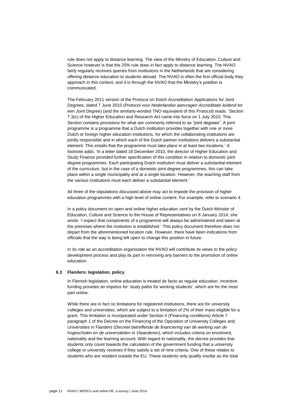rule does not apply to distance learning. The view of the Ministry of Education, Culture and Science however is that the 25% rule does in fact apply to distance learning. The NVAO fairly regularly receives queries from institutions in the Netherlands that are considering offering distance education to students abroad. The NVAO is often the first official body they approach in this context, and it is through the NVAO that the Ministry"s position is communicated.

The February 2011 version of the Protocol on Dutch Accreditation Applications for Joint Degrees, dated 7 June 2010 (*Protocol voor Nederlandse aanvragen Accreditatie leidend tot een Joint Degree*) (and the similarly-worded TNO equivalent of this Protocol) reads: "Section 7.3(c) of the Higher Education and Research Act came into force on 1 July 2010. This Section contains provisions for what are commonly referred to as "joint degrees". A joint programme is a programme that a Dutch institution provides together with one or more Dutch or foreign higher education institutions, for which the collaborating institutions are jointly responsible and in which each of the Dutch partner institutions delivers a substantial element. This entails that the programme must take place in at least two locations." A footnote adds: "In a letter dated 16 December 2010, the director of Higher Education and Study Finance provided further specification of this condition in relation to domestic joint degree programmes. Each participating Dutch institution must deliver a substantial element of the curriculum, but in the case of a domestic joint degree programmes, this can take place within a single municipality and at a single location. However, the teaching staff from the various institutions must each deliver a substantial element.'

All three of the stipulations discussed above may act to impede the provision of higher education programmes with a high level of online content. For example, refer to scenario 4.

In a policy document on open and online higher education sent by the Dutch Minister of Education, Culture and Science to the House of Representatives on 8 January 2014, she wrote: "I expect that components of a programme will always be administered and taken at the premises where the institution is established." This policy document therefore does not depart from the aforementioned location rule. However, there have been indications from officials that the way is being left open to change this position in future.

In its role as an accreditation organisation the NVAO will contribute its views to the policy development process and play its part in removing any barriers to the promotion of online education.

#### **6.3 Flanders: legislation, policy**

In Flemish legislation, online education is treated de facto as regular education. Incentive funding provides an impetus for "study paths for working students", which are for the most part online.

While there are in fact no limitations for registered institutions, there are for university colleges and universities, which are subject to a limitation of 2% of their mass eligible for a grant. This limitation is incorporated under Section II (Financing conditions) Article 7 paragraph 1 of the Decree on the Financing of the Operation of University Colleges and Universities in Flanders (*Decreet betreffende de financiering van de werking van de hogescholen en de universiteiten in Vlaanderen*), which includes criteria on enrolment, nationality and the learning account. With regard to nationality, the decree provides that students only count towards the calculation of the government funding that a university college or university receives if they satisfy a set of nine criteria. One of these relates to students who are resident outside the EU. These students only qualify insofar as the total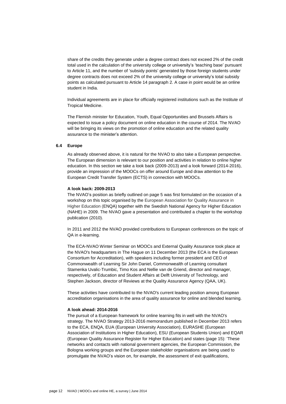share of the credits they generate under a degree contract does not exceed 2% of the credit total used in the calculation of the university college or university"s "teaching base" pursuant to Article 11, and the number of "subsidy points" generated by those foreign students under degree contracts does not exceed 2% of the university college or university"s total subsidy points as calculated pursuant to Article 14 paragraph 2. A case in point would be an online student in India.

Individual agreements are in place for officially registered institutions such as the Institute of Tropical Medicine.

The Flemish minister for Education, Youth, Equal Opportunities and Brussels Affairs is expected to issue a policy document on online education in the course of 2014. The NVAO will be bringing its views on the promotion of online education and the related quality assurance to the minister's attention.

## **6.4 Europe**

As already observed above, it is natural for the NVAO to also take a European perspective. The European dimension is relevant to our position and activities in relation to online higher education. In this section we take a look back (2009-2013) and a look forward (2014-2016), provide an impression of the MOOCs on offer around Europe and draw attention to the European Credit Transfer System (ECTS) in connection with MOOCs.

#### **A look back: 2009-2013**

The NVAO"s position as briefly outlined on page 5 was first formulated on the occasion of a workshop on this topic organised by the European Association for Quality Assurance in Higher Education (ENQA) together with the Swedish National Agency for Higher Education (NAHE) in 2009. The NVAO gave a presentation and contributed a chapter to the workshop publication (2010).

In 2011 and 2012 the NVAO provided contributions to European conferences on the topic of QA in e-learning.

The ECA-NVAO Winter Seminar on MOOCs and External Quality Assurance took place at the NVAO's headquarters in The Hague on 11 December 2013 (the ECA is the European Consortium for Accreditation), with speakers including former president and CEO of Commonwealth of Learning Sir John Daniel, Commonwealth of Learning consultant Stamenka Uvalic-Trumbic, Timo Kos and Nellie van de Griend, director and manager, respectively, of Education and Student Affairs at Delft University of Technology, and Stephen Jackson, director of Reviews at the Quality Assurance Agency (QAA, UK).

These activities have contributed to the NVAO's current leading position among European accreditation organisations in the area of quality assurance for online and blended learning.

# **A look ahead: 2014-2016**

The pursuit of a European framework for online learning fits in well with the NVAO's strategy. The NVAO Strategy 2013-2016 memorandum published in December 2013 refers to the ECA, ENQA, EUA (European University Association), EURASHE (European Association of Institutions in Higher Education), ESU (European Students Union) and EQAR (European Quality Assurance Register for Higher Education) and states (page 15): "These networks and contacts with national government agencies, the European Commission, the Bologna working groups and the European stakeholder organisations are being used to promulgate the NVAO"s vision on, for example, the assessment of exit qualifications,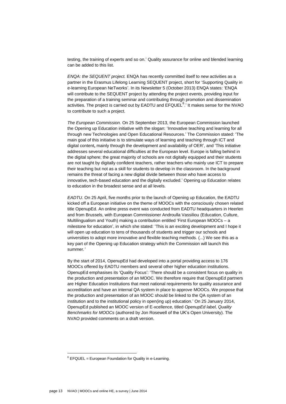testing, the training of experts and so on." Quality assurance for online and blended learning can be added to this list.

*ENQA: the SEQUENT project.* ENQA has recently committed itself to new activities as a partner in the Erasmus Lifelong Learning SEQUENT project, short for "Supporting Quality in e-learning European NeTworks". In its Newsletter 5 (October 2013) ENQA states: "ENQA will contribute to the SEQUENT project by attending the project events, providing input for the preparation of a training seminar and contributing through promotion and dissemination activities. The project is carried out by EADTU and  $E\text{FQUEL}^{6}$ , It makes sense for the NVAO to contribute to such a project.

*The European Commission.* On 25 September 2013, the European Commission launched the Opening up Education initiative with the slogan: "Innovative teaching and learning for all through new Technologies and Open Educational Resources." The Commission stated: "The main goal of this initiative is to stimulate ways of learning and teaching through ICT and digital content**,** mainly through the development and availability of OER", and "This initiative addresses several educational difficulties at the European level. Europe is falling behind in the digital sphere; the great majority of schools are not digitally equipped and their students are not taught by digitally confident teachers, rather teachers who mainly use ICT to prepare their teaching but not as a skill for students to develop in the classroom. In the background remains the threat of facing a new digital divide between those who have access to innovative, tech-based education and the digitally excluded." Opening up Education relates to education in the broadest sense and at all levels.

*EADTU.* On 25 April, five months prior to the launch of Opening up Education, the EADTU kicked off a European initiative on the theme of MOOCs with the consciously chosen related title OpenupEd. An online press event was conducted from EADTU headquarters in Heerlen and from Brussels, with European Commissioner Androulla Vassiliou (Education, Culture, Multilingualism and Youth) making a contribution entitled "First European MOOCs – a milestone for education", in which she stated: "This is an exciting development and I hope it will open up education to tens of thousands of students and trigger our schools and universities to adopt more innovative and flexible teaching methods. (...) We see this as a key part of the Opening up Education strategy which the Commission will launch this summer*.'*

By the start of 2014, OpenupEd had developed into a portal providing access to 176 MOOCs offered by EADTU members and several other higher education institutions. OpenupEd emphasises its "Quality Focus": "There should be a consistent focus on quality in the production and presentation of an MOOC. We therefore require that OpenupEd partners are Higher Education Institutions that meet national requirements for quality assurance and accreditation and have an internal QA system in place to approve MOOCs. We propose that the production and presentation of an MOOC should be linked to the QA system of an institution and to the institutional policy in open(ing up) education." On 25 January 2014, OpenupEd published an MOOC version of E-xcellence, titled *OpenupEd label, Quality Benchmarks for MOOCs* (authored by Jon Rosewell of the UK"s Open University). The NVAO provided comments on a draft version.

 $6$  EFQUEL = European Foundation for Quality in e-Learning.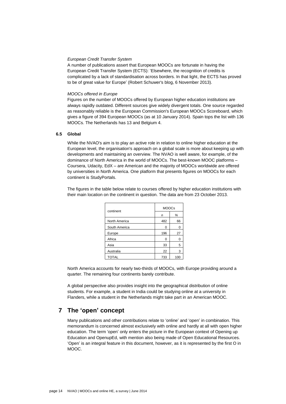# *European Credit Transfer System*

A number of publications assert that European MOOCs are fortunate in having the European Credit Transfer System (ECTS): "Elsewhere, the recognition of credits is complicated by a lack of standardisation across borders. In that light, the ECTS has proved to be of great value for Europe' (Robert Schuwer's blog, 6 November 2013).

# *MOOCs offered in Europe*

Figures on the number of MOOCs offered by European higher education institutions are always rapidly outdated. Different sources give widely divergent totals. One source regarded as reasonably reliable is the European Commission's European MOOCs Scoreboard, which gives a figure of 394 European MOOCs (as at 10 January 2014). Spain tops the list with 136 MOOCs. The Netherlands has 13 and Belgium 4.

# **6.5 Global**

While the NVAO's aim is to play an active role in relation to online higher education at the European level, the organisation's approach on a global scale is more about keeping up with developments and maintaining an overview. The NVAO is well aware, for example, of the dominance of North America in the world of MOOCs. The best-known MOOC platforms – Coursera, Udacity, EdX – are American and the majority of MOOCs worldwide are offered by universities in North America. One platform that presents figures on MOOCs for each continent is StudyPortals.

The figures in the table below relate to courses offered by higher education institutions with their main location on the continent in question. The data are from 23 October 2013.

| continent     | <b>MOOCs</b> |     |
|---------------|--------------|-----|
|               | n            | %   |
| North America | 482          | 66  |
| South America | O            | 0   |
| Europe        | 196          | 27  |
| Africa        | 0            | 0   |
| Asia          | 33           | 5   |
| Australia     | 22           | 3   |
| <b>TOTAL</b>  | 733          | 100 |

North America accounts for nearly two-thirds of MOOCs, with Europe providing around a quarter. The remaining four continents barely contribute.

A global perspective also provides insight into the geographical distribution of online students. For example, a student in India could be studying online at a university in Flanders, while a student in the Netherlands might take part in an American MOOC.

# **7 The 'open' concept**

Many publications and other contributions relate to "online" and "open" in combination. This memorandum is concerned almost exclusively with online and hardly at all with open higher education. The term "open" only enters the picture in the European context of Opening up Education and OpenupEd, with mention also being made of Open Educational Resources. "Open" is an integral feature in this document, however, as it is represented by the first O in MOOC.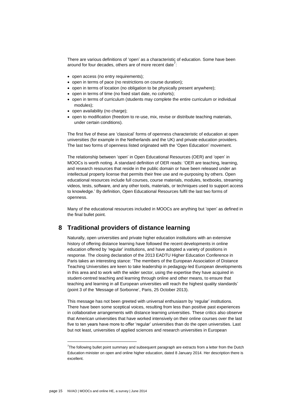There are various definitions of "open" as a characteristic of education. Some have been around for four decades, others are of more recent date<sup>7</sup>:

- open access (no entry requirements);
- open in terms of pace (no restrictions on course duration):
- open in terms of location (no obligation to be physically present anywhere);
- open in terms of time (no fixed start date, no cohorts);
- open in terms of curriculum (students may complete the entire curriculum or individual modules);
- open availability (no charge);
- open to modification (freedom to re-use, mix, revise or distribute teaching materials, under certain conditions).

The first five of these are "classical" forms of openness characteristic of education at open universities (for example in the Netherlands and the UK) and private education providers. The last two forms of openness listed originated with the "Open Education" movement.

The relationship between "open" in Open Educational Resources (OER) and "open" in MOOCs is worth noting. A standard definition of OER reads: "OER are teaching, learning, and research resources that reside in the public domain or have been released under an intellectual property license that permits their free use and re-purposing by others. Open educational resources include full courses, course materials, modules, textbooks, streaming videos, tests, software, and any other tools, materials, or techniques used to support access to knowledge." By definition, Open Educational Resources fulfil the last two forms of openness.

Many of the educational resources included in MOOCs are anything but "open" as defined in the final bullet point.

# **8 Traditional providers of distance learning**

Naturally, open universities and private higher education institutions with an extensive history of offering distance learning have followed the recent developments in online education offered by "regular" institutions, and have adopted a variety of positions in response. The closing declaration of the 2013 EADTU Higher Education Conference in Paris takes an interesting stance: "The members of the European Association of Distance Teaching Universities are keen to take leadership in pedagogy-led European developments in this area and to work with the wider sector, using the expertise they have acquired in student-centred teaching and learning through online and other means, to ensure that teaching and learning in all European universities will reach the highest quality standards" (point 3 of the "Message of Sorbonne", Paris, 25 October 2013).

This message has not been greeted with universal enthusiasm by 'regular' institutions. There have been some sceptical voices, resulting from less than positive past experiences in collaborative arrangements with distance learning universities. These critics also observe that American universities that have worked intensively on their online courses over the last five to ten years have more to offer "regular" universities than do the open universities. Last but not least, universities of applied sciences and research universities in European

 $7$ The following bullet point summary and subsequent paragraph are extracts from a letter from the Dutch Education minister on open and online higher education, dated 8 January 2014. Her description there is excellent.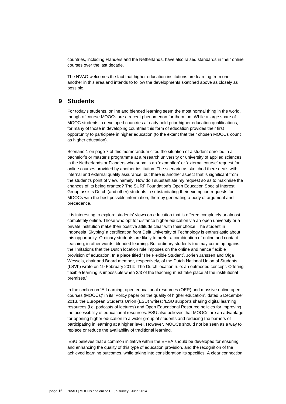countries, including Flanders and the Netherlands, have also raised standards in their online courses over the last decade.

The NVAO welcomes the fact that higher education institutions are learning from one another in this area and intends to follow the developments sketched above as closely as possible.

# **9 Students**

For today's students, online and blended learning seem the most normal thing in the world, though of course MOOCs are a recent phenomenon for them too. While a large share of MOOC students in developed countries already hold prior higher education qualifications, for many of those in developing countries this form of education provides their first opportunity to participate in higher education (to the extent that their chosen MOOCs count as higher education).

Scenario 1 on page 7 of this memorandum cited the situation of a student enrolled in a bachelor"s or master"s programme at a research university or university of applied sciences in the Netherlands or Flanders who submits an "exemption" or "external course" request for online courses provided by another institution. The scenario as sketched there deals with internal and external quality assurance, but there is another aspect that is significant from the student's point of view, namely: How do I substantiate my request so as to maximise the chances of its being granted? The SURF Foundation's Open Education Special Interest Group assists Dutch (and other) students in substantiating their exemption requests for MOOCs with the best possible information, thereby generating a body of argument and precedence.

It is interesting to explore students' views on education that is offered completely or almost completely online. Those who opt for distance higher education via an open university or a private institution make their positive attitude clear with their choice. The student in Indonesia "Skyping" a certification from Delft University of Technology is enthusiastic about this opportunity. Ordinary students are likely to prefer a combination of online and contact teaching; in other words, blended learning. But ordinary students too may come up against the limitations that the Dutch location rule imposes on the online and hence flexible provision of education. In a piece titled "The Flexible Student", Jorien Janssen and Olga Wessels, chair and Board member, respectively, of the Dutch National Union of Students (LSVb) wrote on 19 February 2014: "The Dutch location rule: an outmoded concept. Offering flexible learning is impossible when 2/3 of the teaching must take place at the institutional premises."

In the section on "E-Learning, open educational resources (OER) and massive online open courses (MOOCs)" in its "Policy paper on the quality of higher education", dated 5 December 2013, the European Students Union (ESU) writes: "ESU supports sharing digital learning resources (i.e. podcasts of lectures) and Open Educational Resource policies for improving the accessibility of educational resources. ESU also believes that MOOCs are an advantage for opening higher education to a wider group of students and reducing the barriers of participating in learning at a higher level. However, MOOCs should not be seen as a way to replace or reduce the availability of traditional learning.

"ESU believes that a common initiative within the EHEA should be developed for ensuring and enhancing the quality of this type of education provision, and the recognition of the achieved learning outcomes, while taking into consideration its specifics. A clear connection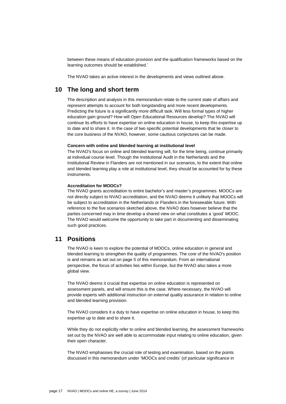between these means of education provision and the qualification frameworks based on the learning outcomes should be established."

The NVAO takes an active interest in the developments and views outlined above.

# **10 The long and short term**

The description and analysis in this memorandum relate to the current state of affairs and represent attempts to account for both longstanding and more recent developments. Predicting the future is a significantly more difficult task. Will less formal types of higher education gain ground? How will Open Educational Resources develop? The NVAO will continue its efforts to have expertise on online education in house, to keep this expertise up to date and to share it. In the case of two specific potential developments that lie closer to the core business of the NVAO, however, some cautious conjectures can be made.

#### **Concern with online and blended learning at institutional level**

The NVAO's focus on online and blended learning will, for the time being, continue primarily at individual course level. Though the Institutional Audit in the Netherlands and the Institutional Review in Flanders are not mentioned in our scenarios, to the extent that online and blended learning play a role at institutional level, they should be accounted for by these instruments.

# **Accreditation for MOOCs?**

The NVAO grants accreditation to entire bachelor"s and master"s programmes. MOOCs are not directly subject to NVAO accreditation, and the NVAO deems it unlikely that MOOCs will be subject to accreditation in the Netherlands or Flanders in the foreseeable future. With reference to the five scenarios sketched above, the NVAO does however believe that the parties concerned may in time develop a shared view on what constitutes a "good" MOOC. The NVAO would welcome the opportunity to take part in documenting and disseminating such good practices.

# **11 Positions**

The NVAO is keen to explore the potential of MOOCs, online education in general and blended learning to strengthen the quality of programmes. The core of the NVAO's position is and remains as set out on page 5 of this memorandum. From an international perspective, the focus of activities lies within Europe, but the NVAO also takes a more global view.

The NVAO deems it crucial that expertise on online education is represented on assessment panels, and will ensure this is the case. Where necessary, the NVAO will provide experts with additional instruction on external quality assurance in relation to online and blended learning provision.

The NVAO considers it a duty to have expertise on online education in house, to keep this expertise up to date and to share it.

While they do not explicitly refer to online and blended learning, the assessment frameworks set out by the NVAO are well able to accommodate input relating to online education, given their open character.

The NVAO emphasises the crucial role of testing and examination, based on the points discussed in this memorandum under "MOOCs and credits" (of particular significance in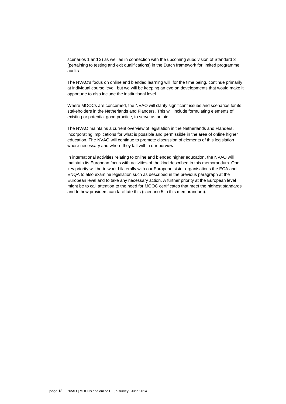scenarios 1 and 2) as well as in connection with the upcoming subdivision of Standard 3 (pertaining to testing and exit qualifications) in the Dutch framework for limited programme audits.

The NVAO's focus on online and blended learning will, for the time being, continue primarily at individual course level, but we will be keeping an eye on developments that would make it opportune to also include the institutional level.

Where MOOCs are concerned, the NVAO will clarify significant issues and scenarios for its stakeholders in the Netherlands and Flanders. This will include formulating elements of existing or potential good practice, to serve as an aid.

The NVAO maintains a current overview of legislation in the Netherlands and Flanders, incorporating implications for what is possible and permissible in the area of online higher education. The NVAO will continue to promote discussion of elements of this legislation where necessary and where they fall within our purview.

In international activities relating to online and blended higher education, the NVAO will maintain its European focus with activities of the kind described in this memorandum. One key priority will be to work bilaterally with our European sister organisations the ECA and ENQA to also examine legislation such as described in the previous paragraph at the European level and to take any necessary action. A further priority at the European level might be to call attention to the need for MOOC certificates that meet the highest standards and to how providers can facilitate this (scenario 5 in this memorandum).